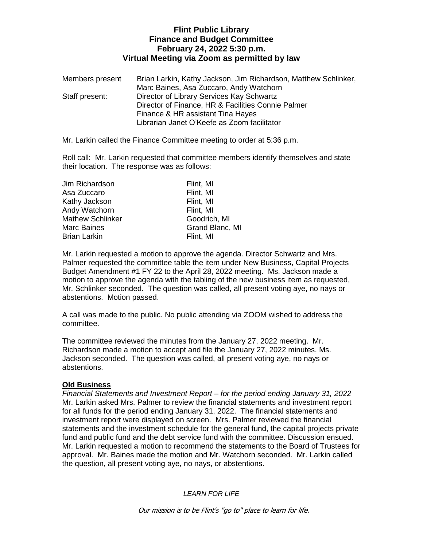# **Flint Public Library Finance and Budget Committee February 24, 2022 5:30 p.m. Virtual Meeting via Zoom as permitted by law**

| Members present | Brian Larkin, Kathy Jackson, Jim Richardson, Matthew Schlinker, |
|-----------------|-----------------------------------------------------------------|
|                 | Marc Baines, Asa Zuccaro, Andy Watchorn                         |
| Staff present:  | Director of Library Services Kay Schwartz                       |
|                 | Director of Finance, HR & Facilities Connie Palmer              |
|                 | Finance & HR assistant Tina Hayes                               |
|                 | Librarian Janet O'Keefe as Zoom facilitator                     |

Mr. Larkin called the Finance Committee meeting to order at 5:36 p.m.

Roll call: Mr. Larkin requested that committee members identify themselves and state their location. The response was as follows:

| Flint, MI       |
|-----------------|
| Flint, MI       |
| Flint, MI       |
| Flint, MI       |
| Goodrich, MI    |
| Grand Blanc, MI |
| Flint, MI       |
|                 |

Mr. Larkin requested a motion to approve the agenda. Director Schwartz and Mrs. Palmer requested the committee table the item under New Business, Capital Projects Budget Amendment #1 FY 22 to the April 28, 2022 meeting. Ms. Jackson made a motion to approve the agenda with the tabling of the new business item as requested, Mr. Schlinker seconded. The question was called, all present voting aye, no nays or abstentions. Motion passed.

A call was made to the public. No public attending via ZOOM wished to address the committee.

The committee reviewed the minutes from the January 27, 2022 meeting. Mr. Richardson made a motion to accept and file the January 27, 2022 minutes, Ms. Jackson seconded. The question was called, all present voting aye, no nays or abstentions.

## **Old Business**

*Financial Statements and Investment Report – for the period ending January 31, 2022* Mr. Larkin asked Mrs. Palmer to review the financial statements and investment report for all funds for the period ending January 31, 2022. The financial statements and investment report were displayed on screen. Mrs. Palmer reviewed the financial statements and the investment schedule for the general fund, the capital projects private fund and public fund and the debt service fund with the committee. Discussion ensued. Mr. Larkin requested a motion to recommend the statements to the Board of Trustees for approval. Mr. Baines made the motion and Mr. Watchorn seconded. Mr. Larkin called the question, all present voting aye, no nays, or abstentions.

*LEARN FOR LIFE*

Our mission is to be Flint's "go to" place to learn for life.